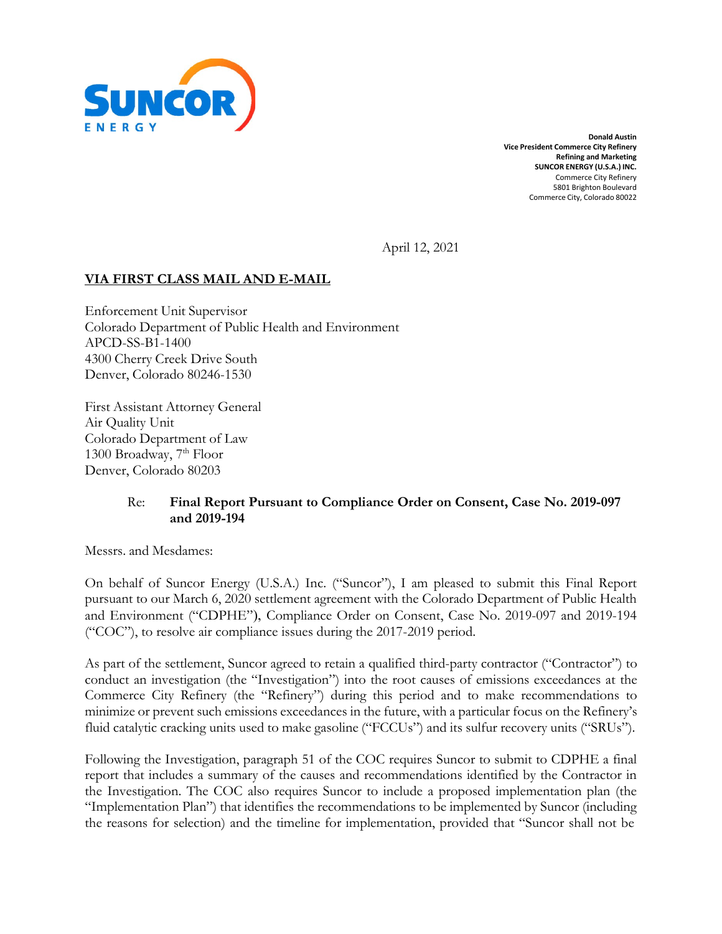

**Donald Austin Vice President Commerce City Refinery Refining and Marketing SUNCOR ENERGY (U.S.A.) INC.** Commerce City Refinery 5801 Brighton Boulevard Commerce City, Colorado 80022

April 12, 2021

### **VIA FIRST CLASS MAIL AND E-MAIL**

Enforcement Unit Supervisor Colorado Department of Public Health and Environment APCD-SS-B1-1400 4300 Cherry Creek Drive South Denver, Colorado 80246-1530

First Assistant Attorney General Air Quality Unit Colorado Department of Law 1300 Broadway, 7<sup>th</sup> Floor Denver, Colorado 80203

#### Re: **Final Report Pursuant to Compliance Order on Consent, Case No. 2019-097 and 2019-194**

Messrs. and Mesdames:

On behalf of Suncor Energy (U.S.A.) Inc. ("Suncor"), I am pleased to submit this Final Report pursuant to our March 6, 2020 settlement agreement with the Colorado Department of Public Health and Environment ("CDPHE"), Compliance Order on Consent, Case No. 2019-097 and 2019-194 ("COC"), to resolve air compliance issues during the 2017-2019 period.

As part of the settlement, Suncor agreed to retain a qualified third-party contractor ("Contractor") to conduct an investigation (the "Investigation") into the root causes of emissions exceedances at the Commerce City Refinery (the "Refinery") during this period and to make recommendations to minimize or prevent such emissions exceedances in the future, with a particular focus on the Refinery's fluid catalytic cracking units used to make gasoline ("FCCUs") and its sulfur recovery units ("SRUs").

Following the Investigation, paragraph 51 of the COC requires Suncor to submit to CDPHE a final report that includes a summary of the causes and recommendations identified by the Contractor in the Investigation. The COC also requires Suncor to include a proposed implementation plan (the "Implementation Plan") that identifies the recommendations to be implemented by Suncor (including the reasons for selection) and the timeline for implementation, provided that "Suncor shall not be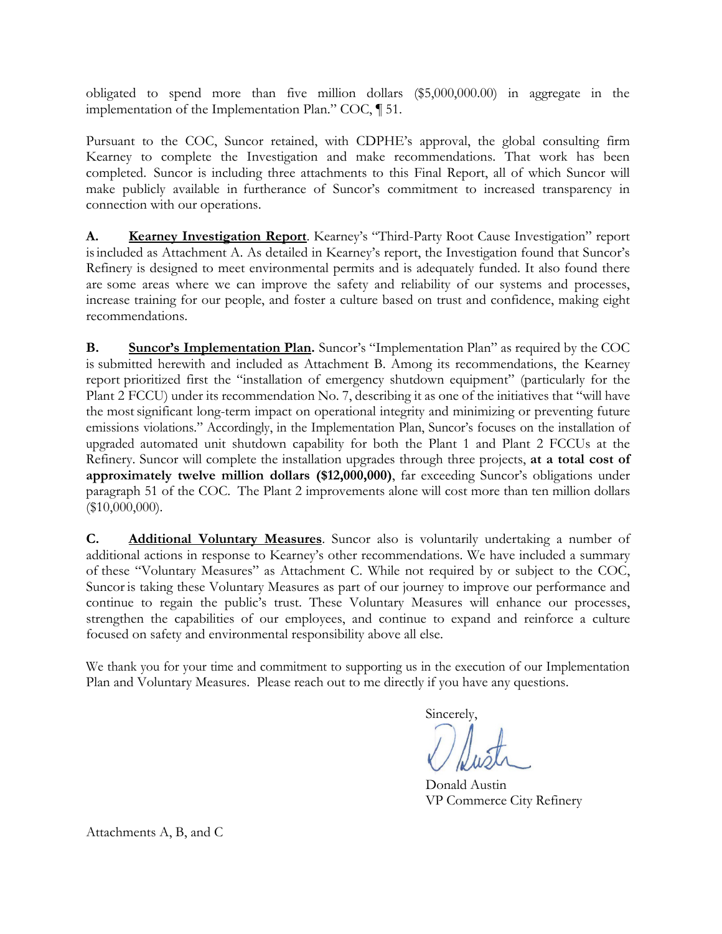obligated to spend more than five million dollars (\$5,000,000.00) in aggregate in the implementation of the Implementation Plan." COC, ¶ 51.

Pursuant to the COC, Suncor retained, with CDPHE's approval, the global consulting firm Kearney to complete the Investigation and make recommendations. That work has been completed. Suncor is including three attachments to this Final Report, all of which Suncor will make publicly available in furtherance of Suncor's commitment to increased transparency in connection with our operations.

**A. Kearney Investigation Report**. Kearney's "Third-Party Root Cause Investigation" report isincluded as Attachment A. As detailed in Kearney's report, the Investigation found that Suncor's Refinery is designed to meet environmental permits and is adequately funded. It also found there are some areas where we can improve the safety and reliability of our systems and processes, increase training for our people, and foster a culture based on trust and confidence, making eight recommendations.

**B. Suncor's Implementation Plan.** Suncor's "Implementation Plan" as required by the COC is submitted herewith and included as Attachment B. Among its recommendations, the Kearney report prioritized first the "installation of emergency shutdown equipment" (particularly for the Plant 2 FCCU) under its recommendation No. 7, describing it as one of the initiatives that "will have the mostsignificant long-term impact on operational integrity and minimizing or preventing future emissions violations." Accordingly, in the Implementation Plan, Suncor's focuses on the installation of upgraded automated unit shutdown capability for both the Plant 1 and Plant 2 FCCUs at the Refinery. Suncor will complete the installation upgrades through three projects, **at a total cost of approximately twelve million dollars (\$12,000,000)**, far exceeding Suncor's obligations under paragraph 51 of the COC. The Plant 2 improvements alone will cost more than ten million dollars (\$10,000,000).

**C. Additional Voluntary Measures**. Suncor also is voluntarily undertaking a number of additional actions in response to Kearney's other recommendations. We have included a summary of these "Voluntary Measures" as Attachment C. While not required by or subject to the COC, Suncor is taking these Voluntary Measures as part of our journey to improve our performance and continue to regain the public's trust. These Voluntary Measures will enhance our processes, strengthen the capabilities of our employees, and continue to expand and reinforce a culture focused on safety and environmental responsibility above all else.

We thank you for your time and commitment to supporting us in the execution of our Implementation Plan and Voluntary Measures. Please reach out to me directly if you have any questions.

Sincerely,

Donald Austin VP Commerce City Refinery

Attachments A, B, and C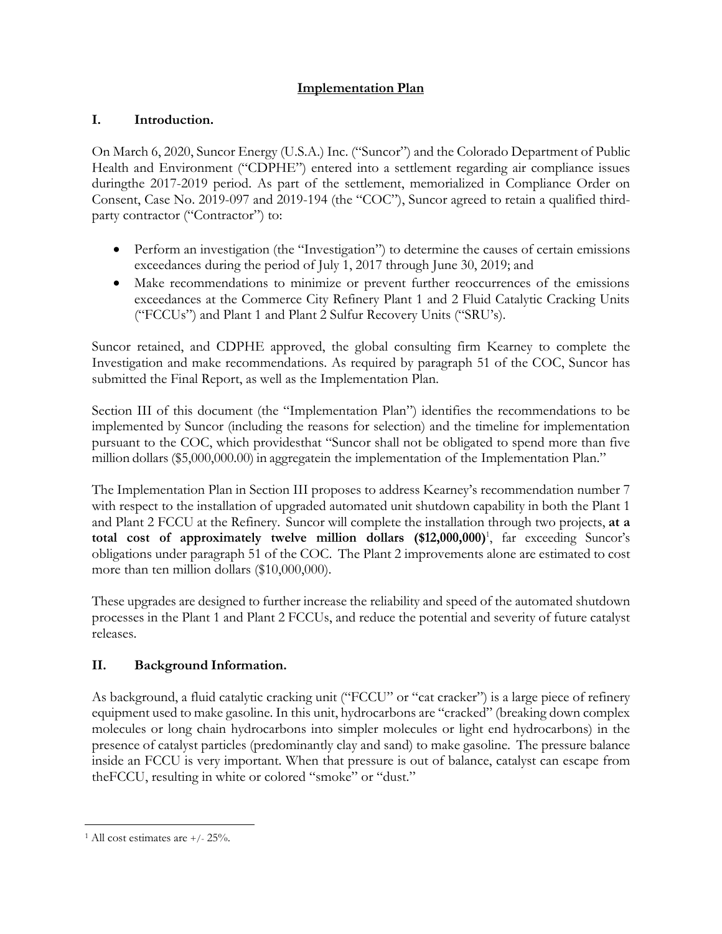## **Implementation Plan**

## **I. Introduction.**

On March 6, 2020, Suncor Energy (U.S.A.) Inc. ("Suncor") and the Colorado Department of Public Health and Environment ("CDPHE") entered into a settlement regarding air compliance issues duringthe 2017-2019 period. As part of the settlement, memorialized in Compliance Order on Consent, Case No. 2019-097 and 2019-194 (the "COC"), Suncor agreed to retain a qualified thirdparty contractor ("Contractor") to:

- Perform an investigation (the "Investigation") to determine the causes of certain emissions exceedances during the period of July 1, 2017 through June 30, 2019; and
- Make recommendations to minimize or prevent further reoccurrences of the emissions exceedances at the Commerce City Refinery Plant 1 and 2 Fluid Catalytic Cracking Units ("FCCUs") and Plant 1 and Plant 2 Sulfur Recovery Units ("SRU's).

Suncor retained, and CDPHE approved, the global consulting firm Kearney to complete the Investigation and make recommendations. As required by paragraph 51 of the COC, Suncor has submitted the Final Report, as well as the Implementation Plan.

Section III of this document (the "Implementation Plan") identifies the recommendations to be implemented by Suncor (including the reasons for selection) and the timeline for implementation pursuant to the COC, which providesthat "Suncor shall not be obligated to spend more than five million dollars (\$5,000,000.00) in aggregatein the implementation of the Implementation Plan."

The Implementation Plan in Section III proposes to address Kearney's recommendation number 7 with respect to the installation of upgraded automated unit shutdown capability in both the Plant 1 and Plant 2 FCCU at the Refinery. Suncor will complete the installation through two projects, **at a total cost of approximately twelve million dollars (\$12,000,000)**<sup>1</sup> , far exceeding Suncor's obligations under paragraph 51 of the COC. The Plant 2 improvements alone are estimated to cost more than ten million dollars (\$10,000,000).

These upgrades are designed to further increase the reliability and speed of the automated shutdown processes in the Plant 1 and Plant 2 FCCUs, and reduce the potential and severity of future catalyst releases.

# **II. Background Information.**

As background, a fluid catalytic cracking unit ("FCCU" or "cat cracker") is a large piece of refinery equipment used to make gasoline. In this unit, hydrocarbons are "cracked" (breaking down complex molecules or long chain hydrocarbons into simpler molecules or light end hydrocarbons) in the presence of catalyst particles (predominantly clay and sand) to make gasoline. The pressure balance inside an FCCU is very important. When that pressure is out of balance, catalyst can escape from theFCCU, resulting in white or colored "smoke" or "dust."

 $1$  All cost estimates are  $+/- 25%$ .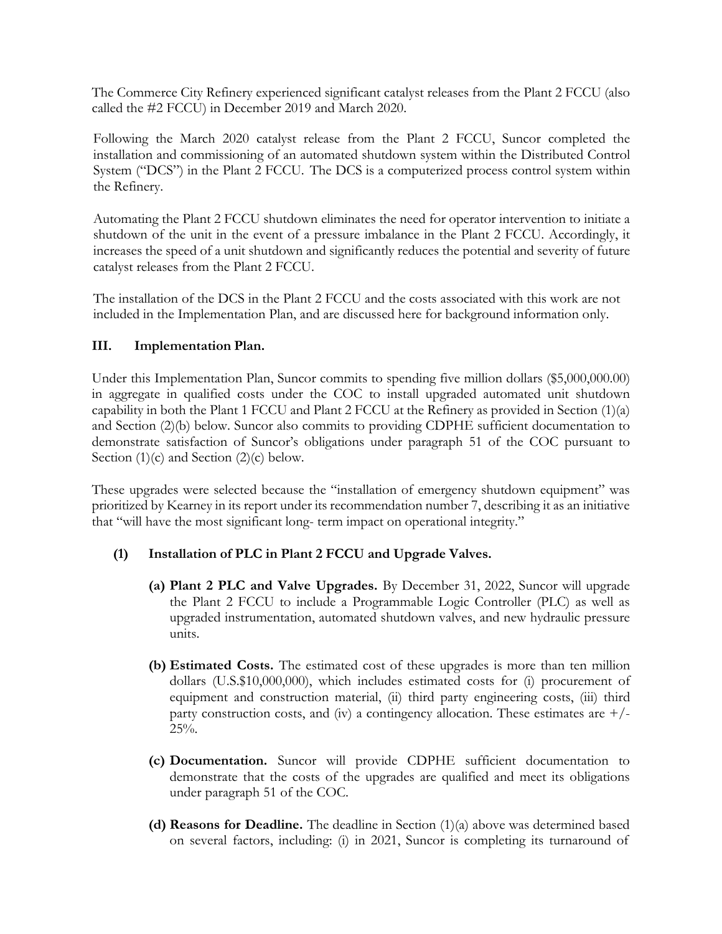The Commerce City Refinery experienced significant catalyst releases from the Plant 2 FCCU (also called the #2 FCCU) in December 2019 and March 2020.

Following the March 2020 catalyst release from the Plant 2 FCCU, Suncor completed the installation and commissioning of an automated shutdown system within the Distributed Control System ("DCS") in the Plant 2 FCCU. The DCS is a computerized process control system within the Refinery.

Automating the Plant 2 FCCU shutdown eliminates the need for operator intervention to initiate a shutdown of the unit in the event of a pressure imbalance in the Plant 2 FCCU. Accordingly, it increases the speed of a unit shutdown and significantly reduces the potential and severity of future catalyst releases from the Plant 2 FCCU.

The installation of the DCS in the Plant 2 FCCU and the costs associated with this work are not included in the Implementation Plan, and are discussed here for background information only.

#### **III. Implementation Plan.**

Under this Implementation Plan, Suncor commits to spending five million dollars (\$5,000,000.00) in aggregate in qualified costs under the COC to install upgraded automated unit shutdown capability in both the Plant 1 FCCU and Plant 2 FCCU at the Refinery as provided in Section (1)(a) and Section (2)(b) below. Suncor also commits to providing CDPHE sufficient documentation to demonstrate satisfaction of Suncor's obligations under paragraph 51 of the COC pursuant to Section  $(1)(c)$  and Section  $(2)(c)$  below.

These upgrades were selected because the "installation of emergency shutdown equipment" was prioritized by Kearney in its report under its recommendation number 7, describing it as an initiative that "will have the most significant long- term impact on operational integrity."

### **(1) Installation of PLC in Plant 2 FCCU and Upgrade Valves.**

- **(a) Plant 2 PLC and Valve Upgrades.** By December 31, 2022, Suncor will upgrade the Plant 2 FCCU to include a Programmable Logic Controller (PLC) as well as upgraded instrumentation, automated shutdown valves, and new hydraulic pressure units.
- **(b) Estimated Costs.** The estimated cost of these upgrades is more than ten million dollars (U.S.\$10,000,000), which includes estimated costs for (i) procurement of equipment and construction material, (ii) third party engineering costs, (iii) third party construction costs, and (iv) a contingency allocation. These estimates are  $+/ 25%$ .
- **(c) Documentation.** Suncor will provide CDPHE sufficient documentation to demonstrate that the costs of the upgrades are qualified and meet its obligations under paragraph 51 of the COC.
- **(d) Reasons for Deadline.** The deadline in Section (1)(a) above was determined based on several factors, including: (i) in 2021, Suncor is completing its turnaround of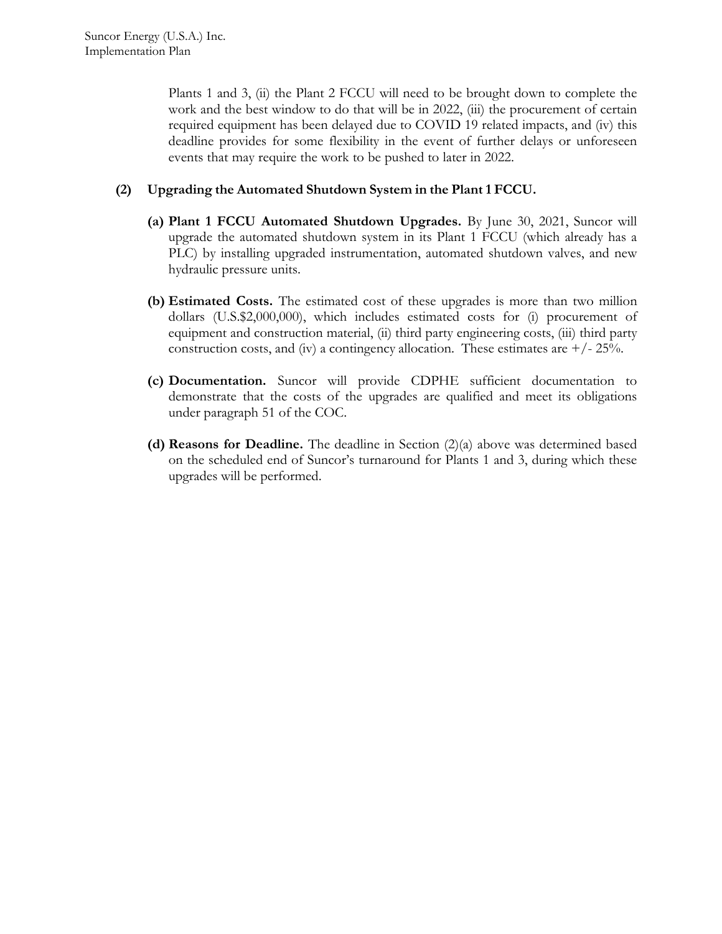Plants 1 and 3, (ii) the Plant 2 FCCU will need to be brought down to complete the work and the best window to do that will be in 2022, (iii) the procurement of certain required equipment has been delayed due to COVID 19 related impacts, and (iv) this deadline provides for some flexibility in the event of further delays or unforeseen events that may require the work to be pushed to later in 2022.

#### **(2) Upgrading the Automated Shutdown System in the Plant 1 FCCU.**

- **(a) Plant 1 FCCU Automated Shutdown Upgrades.** By June 30, 2021, Suncor will upgrade the automated shutdown system in its Plant 1 FCCU (which already has a PLC) by installing upgraded instrumentation, automated shutdown valves, and new hydraulic pressure units.
- **(b) Estimated Costs.** The estimated cost of these upgrades is more than two million dollars (U.S.\$2,000,000), which includes estimated costs for (i) procurement of equipment and construction material, (ii) third party engineering costs, (iii) third party construction costs, and (iv) a contingency allocation. These estimates are  $+/- 25%$ .
- **(c) Documentation.** Suncor will provide CDPHE sufficient documentation to demonstrate that the costs of the upgrades are qualified and meet its obligations under paragraph 51 of the COC.
- **(d) Reasons for Deadline.** The deadline in Section (2)(a) above was determined based on the scheduled end of Suncor's turnaround for Plants 1 and 3, during which these upgrades will be performed.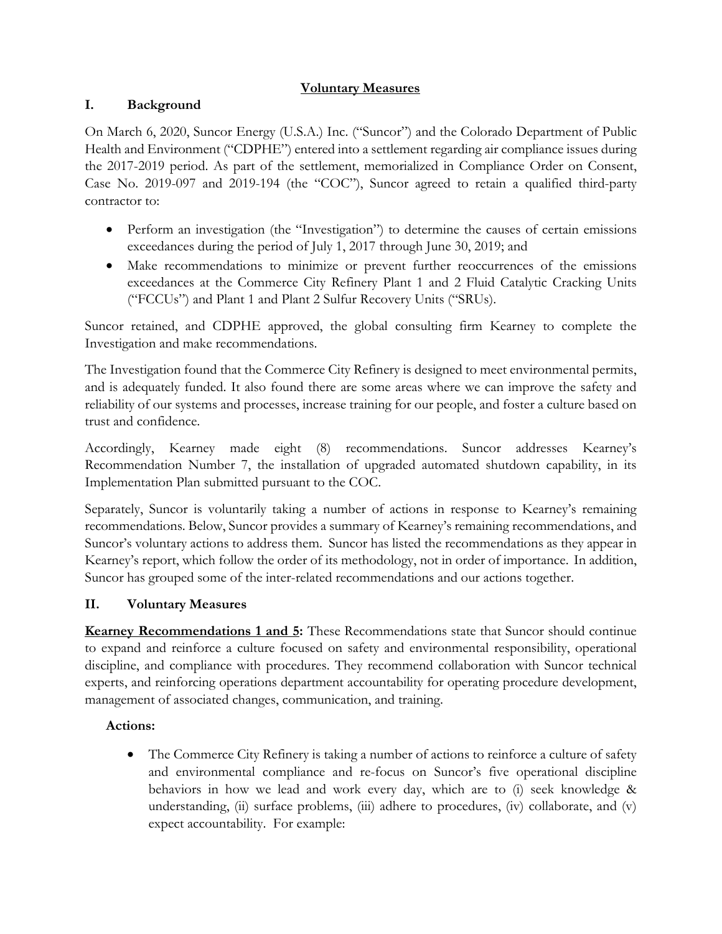## **Voluntary Measures**

## **I. Background**

On March 6, 2020, Suncor Energy (U.S.A.) Inc. ("Suncor") and the Colorado Department of Public Health and Environment ("CDPHE") entered into a settlement regarding air compliance issues during the 2017-2019 period. As part of the settlement, memorialized in Compliance Order on Consent, Case No. 2019-097 and 2019-194 (the "COC"), Suncor agreed to retain a qualified third-party contractor to:

- Perform an investigation (the "Investigation") to determine the causes of certain emissions exceedances during the period of July 1, 2017 through June 30, 2019; and
- Make recommendations to minimize or prevent further reoccurrences of the emissions exceedances at the Commerce City Refinery Plant 1 and 2 Fluid Catalytic Cracking Units ("FCCUs") and Plant 1 and Plant 2 Sulfur Recovery Units ("SRUs).

Suncor retained, and CDPHE approved, the global consulting firm Kearney to complete the Investigation and make recommendations.

The Investigation found that the Commerce City Refinery is designed to meet environmental permits, and is adequately funded. It also found there are some areas where we can improve the safety and reliability of our systems and processes, increase training for our people, and foster a culture based on trust and confidence.

Accordingly, Kearney made eight (8) recommendations. Suncor addresses Kearney's Recommendation Number 7, the installation of upgraded automated shutdown capability, in its Implementation Plan submitted pursuant to the COC.

Separately, Suncor is voluntarily taking a number of actions in response to Kearney's remaining recommendations. Below, Suncor provides a summary of Kearney's remaining recommendations, and Suncor's voluntary actions to address them. Suncor has listed the recommendations as they appear in Kearney's report, which follow the order of its methodology, not in order of importance. In addition, Suncor has grouped some of the inter-related recommendations and our actions together.

### **II. Voluntary Measures**

**Kearney Recommendations 1 and 5:** These Recommendations state that Suncor should continue to expand and reinforce a culture focused on safety and environmental responsibility, operational discipline, and compliance with procedures. They recommend collaboration with Suncor technical experts, and reinforcing operations department accountability for operating procedure development, management of associated changes, communication, and training.

### **Actions:**

• The Commerce City Refinery is taking a number of actions to reinforce a culture of safety and environmental compliance and re-focus on Suncor's five operational discipline behaviors in how we lead and work every day, which are to (i) seek knowledge & understanding, (ii) surface problems, (iii) adhere to procedures, (iv) collaborate, and (v) expect accountability. For example: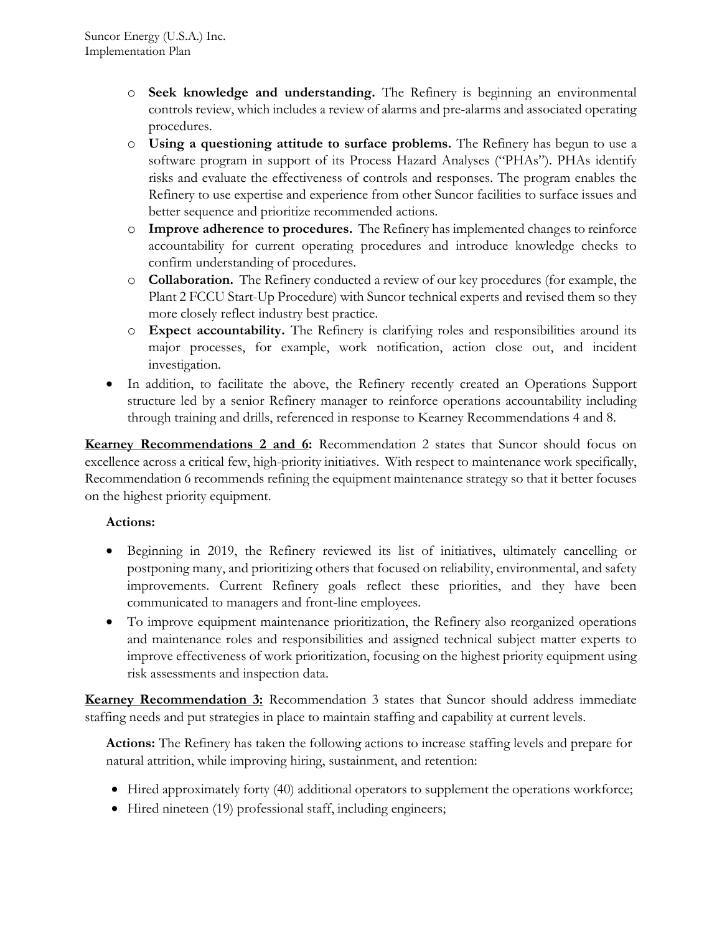- o **Seek knowledge and understanding.** The Refinery is beginning an environmental controls review, which includes a review of alarms and pre-alarms and associated operating procedures.
- o **Using a questioning attitude to surface problems.** The Refinery has begun to use a software program in support of its Process Hazard Analyses ("PHAs"). PHAs identify risks and evaluate the effectiveness of controls and responses. The program enables the Refinery to use expertise and experience from other Suncor facilities to surface issues and better sequence and prioritize recommended actions.
- o **Improve adherence to procedures.** The Refinery has implemented changes to reinforce accountability for current operating procedures and introduce knowledge checks to confirm understanding of procedures.
- o **Collaboration.** The Refinery conducted a review of our key procedures (for example, the Plant 2 FCCU Start-Up Procedure) with Suncor technical experts and revised them so they more closely reflect industry best practice.
- o **Expect accountability.** The Refinery is clarifying roles and responsibilities around its major processes, for example, work notification, action close out, and incident investigation.
- In addition, to facilitate the above, the Refinery recently created an Operations Support structure led by a senior Refinery manager to reinforce operations accountability including through training and drills, referenced in response to Kearney Recommendations 4 and 8.

**Kearney Recommendations 2 and 6:** Recommendation 2 states that Suncor should focus on excellence across a critical few, high-priority initiatives. With respect to maintenance work specifically, Recommendation 6 recommends refining the equipment maintenance strategy so that it better focuses on the highest priority equipment.

### **Actions:**

- Beginning in 2019, the Refinery reviewed its list of initiatives, ultimately cancelling or postponing many, and prioritizing others that focused on reliability, environmental, and safety improvements. Current Refinery goals reflect these priorities, and they have been communicated to managers and front-line employees.
- To improve equipment maintenance prioritization, the Refinery also reorganized operations and maintenance roles and responsibilities and assigned technical subject matter experts to improve effectiveness of work prioritization, focusing on the highest priority equipment using risk assessments and inspection data.

**Kearney Recommendation 3:** Recommendation 3 states that Suncor should address immediate staffing needs and put strategies in place to maintain staffing and capability at current levels.

**Actions:** The Refinery has taken the following actions to increase staffing levels and prepare for natural attrition, while improving hiring, sustainment, and retention:

- Hired approximately forty (40) additional operators to supplement the operations workforce;
- Hired nineteen (19) professional staff, including engineers;